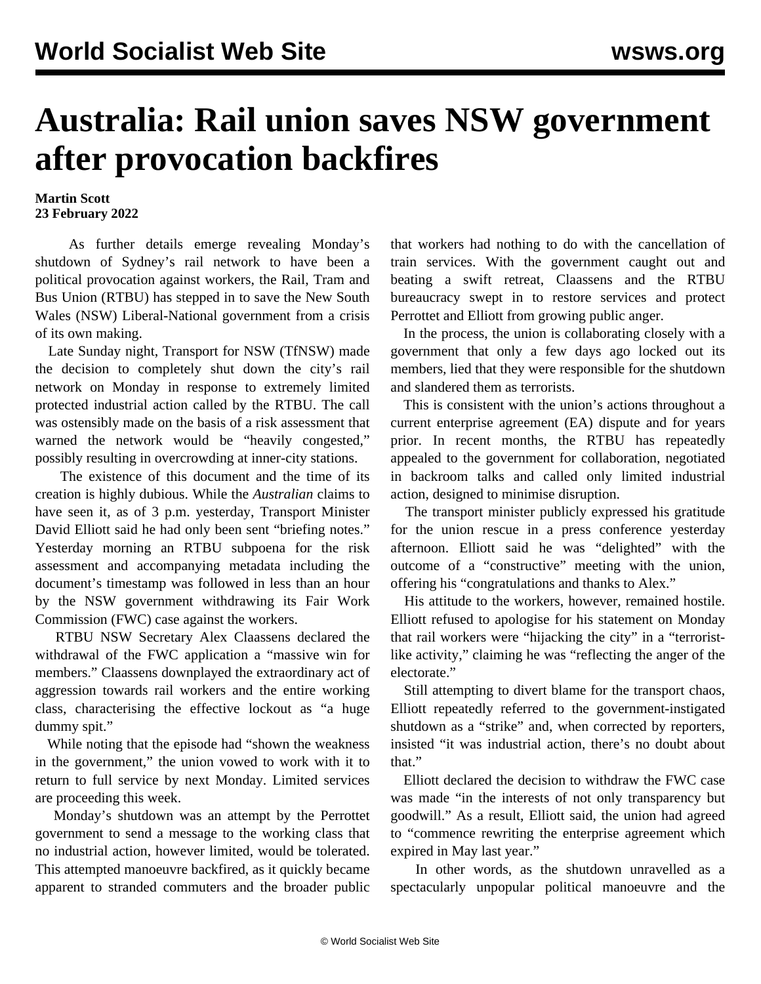## **Australia: Rail union saves NSW government after provocation backfires**

## **Martin Scott 23 February 2022**

 As further details emerge revealing Monday's shutdown of Sydney's rail network to have been a political provocation against workers, the Rail, Tram and Bus Union (RTBU) has stepped in to save the New South Wales (NSW) Liberal-National government from a crisis of its own making.

 Late Sunday night, Transport for NSW (TfNSW) made the decision to completely shut down the city's rail network on Monday in response to extremely limited protected industrial action called by the RTBU. The call was ostensibly made on the basis of a risk assessment that warned the network would be "heavily congested," possibly resulting in overcrowding at inner-city stations.

 The existence of this document and the time of its creation is highly dubious. While the *Australian* claims to have seen it, as of 3 p.m. yesterday, Transport Minister David Elliott said he had only been sent "briefing notes." Yesterday morning an RTBU subpoena for the risk assessment and accompanying metadata including the document's timestamp was followed in less than an hour by the NSW government withdrawing its Fair Work Commission (FWC) case against the workers.

 RTBU NSW Secretary Alex Claassens declared the withdrawal of the FWC application a "massive win for members." Claassens downplayed the extraordinary act of aggression towards rail workers and the entire working class, characterising the effective lockout as "a huge dummy spit."

 While noting that the episode had "shown the weakness in the government," the union vowed to work with it to return to full service by next Monday. Limited services are proceeding this week.

 Monday's shutdown was an attempt by the Perrottet government to send a message to the working class that no industrial action, however limited, would be tolerated. This attempted manoeuvre backfired, as it quickly became apparent to stranded commuters and the broader public

that workers had nothing to do with the cancellation of train services. With the government caught out and beating a swift retreat, Claassens and the RTBU bureaucracy swept in to restore services and protect Perrottet and Elliott from growing public anger.

 In the process, the union is collaborating closely with a government that only a few days ago locked out its members, lied that they were responsible for the shutdown and slandered them as terrorists.

 This is consistent with the union's actions throughout a current enterprise agreement (EA) dispute and for years prior. In recent months, the RTBU has repeatedly appealed to the government for collaboration, negotiated in backroom talks and called only limited industrial action, designed to minimise disruption.

 The transport minister publicly expressed his gratitude for the union rescue in a press conference yesterday afternoon. Elliott said he was "delighted" with the outcome of a "constructive" meeting with the union, offering his "congratulations and thanks to Alex."

 His attitude to the workers, however, remained hostile. Elliott refused to apologise for his statement on Monday that rail workers were "hijacking the city" in a "terroristlike activity," claiming he was "reflecting the anger of the electorate."

 Still attempting to divert blame for the transport chaos, Elliott repeatedly referred to the government-instigated shutdown as a "strike" and, when corrected by reporters, insisted "it was industrial action, there's no doubt about that."

 Elliott declared the decision to withdraw the FWC case was made "in the interests of not only transparency but goodwill." As a result, Elliott said, the union had agreed to "commence rewriting the enterprise agreement which expired in May last year."

 In other words, as the shutdown unravelled as a spectacularly unpopular political manoeuvre and the